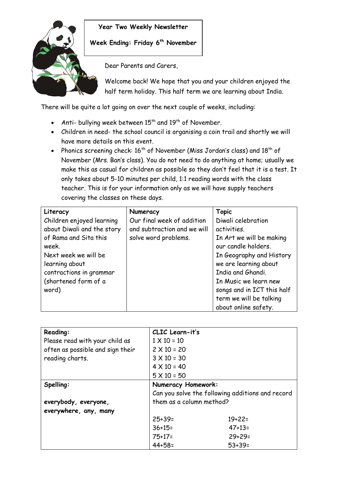

## **Year Two Weekly Newsletter**

**Week Ending: Friday 6 th November**

Dear Parents and Carers,

Welcome back! We hope that you and your children enjoyed the half term holiday. This half term we are learning about India.

There will be quite a lot going on over the next couple of weeks, including:

- Anti- bullying week between  $15^{th}$  and  $19^{th}$  of November.
- Children in need- the school council is organising a coin trail and shortly we will have more details on this event.
- Phonics screening check:  $16^{th}$  of November (Miss Jordan's class) and  $18^{th}$  of November (Mrs. Ban's class). You do not need to do anything at home; usually we make this as casual for children as possible so they don't feel that it is a test. It only takes about 5-10 minutes per child, 1:1 reading words with the class teacher. This is for your information only as we will have supply teachers covering the classes on these days.

| Literacy                   | Numeracy                    | <b>Topic</b>               |
|----------------------------|-----------------------------|----------------------------|
| Children enjoyed learning  | Our final week of addition  | Diwali celebration         |
| about Diwali and the story | and subtraction and we will | activities.                |
| of Rama and Sita this      | solve word problems.        | In Art we will be making   |
| week.                      |                             | our candle holders.        |
| Next week we will be       |                             | In Geography and History   |
| learning about             |                             | we are learning about      |
| contractions in grammar    |                             | India and Ghandi.          |
| (shortened form of a       |                             | In Music we learn new      |
| word)                      |                             | songs and in ICT this half |
|                            |                             | term we will be talking    |
|                            |                             | about online safety.       |

| Reading:                         | CLIC Learn-it's                                  |          |
|----------------------------------|--------------------------------------------------|----------|
| Please read with your child as   | $1 \times 10 = 10$                               |          |
| often as possible and sign their | $2 \times 10 = 20$                               |          |
| reading charts.                  | $3 \times 10 = 30$                               |          |
|                                  | $4 \times 10 = 40$                               |          |
|                                  | $5 \times 10 = 50$                               |          |
| Spelling:                        | Numeracy Homework:                               |          |
|                                  | Can you solve the following additions and record |          |
| everybody, everyone,             | them as a column method?                         |          |
| everywhere, any, many            |                                                  |          |
|                                  | $25 + 39 =$                                      | $19+22=$ |
|                                  | $36+15=$                                         | $47+13=$ |
|                                  | $75+17=$                                         | $29+29=$ |
|                                  | $44 + 58 =$                                      | $53+39=$ |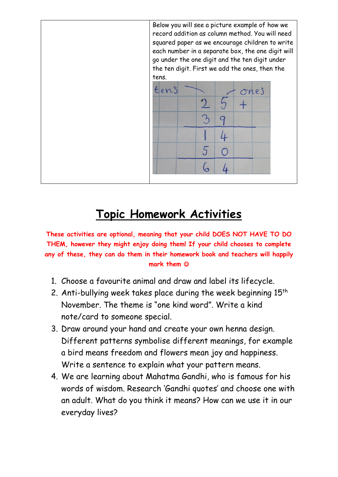

## **Topic Homework Activities**

**These activities are optional, meaning that your child DOES NOT HAVE TO DO THEM, however they might enjoy doing them! If your child chooses to complete any of these, they can do them in their homework book and teachers will happily mark them** 

- 1. Choose a favourite animal and draw and label its lifecycle.
- 2. Anti-bullying week takes place during the week beginning  $15<sup>th</sup>$ November. The theme is "one kind word". Write a kind note/card to someone special.
- 3. Draw around your hand and create your own henna design. Different patterns symbolise different meanings, for example a bird means freedom and flowers mean joy and happiness. Write a sentence to explain what your pattern means.
- 4. We are learning about Mahatma Gandhi, who is famous for his words of wisdom. Research 'Gandhi quotes' and choose one with an adult. What do you think it means? How can we use it in our everyday lives?